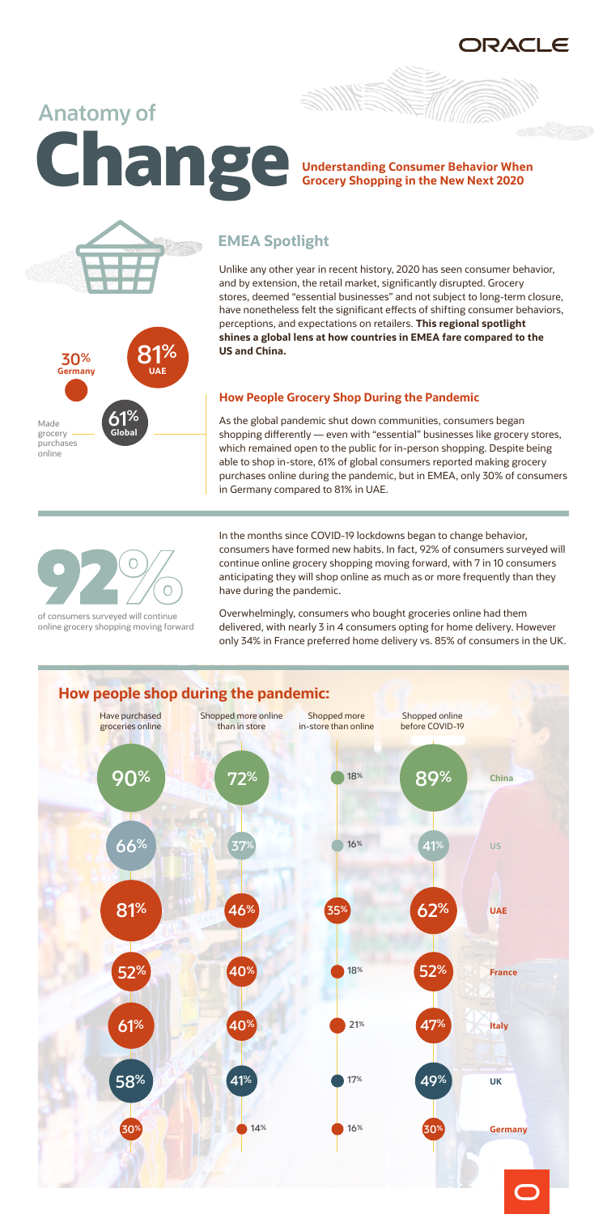**RACLE** 

# **Anatomy of Change Consumer Behavior When Grocery Shopping in the New Next 2020**



online grocery shopping moving forward

**81% UAE**

**61% Global**

**30% Germany**

Made grocery purchases online

Unlike any other year in recent history, 2020 has seen consumer behavior, and by extension, the retail market, significantly disrupted. Grocery stores, deemed "essential businesses" and not subject to long-term closure, have nonetheless felt the significant effects of shifting consumer behaviors, perceptions, and expectations on retailers. **This regional spotlight shines a global lens at how countries in EMEA fare compared to the US and China.**

### **How People Grocery Shop During the Pandemic**

As the global pandemic shut down communities, consumers began shopping differently — even with "essential" businesses like grocery stores, which remained open to the public for in-person shopping. Despite being able to shop in-store, 61% of global consumers reported making grocery purchases online during the pandemic, but in EMEA, only 30% of consumers in Germany compared to 81% in UAE.

### In the months since COVID-19 lockdowns began to change behavior, consumers have formed new habits. In fact, 92% of consumers surveyed will continue online grocery shopping moving forward, with 7 in 10 consumers anticipating they will shop online as much as or more frequently than they have during the pandemic.

Overwhelmingly, consumers who bought groceries online had them delivered, with nearly 3 in 4 consumers opting for home delivery. However only 34% in France preferred home delivery vs. 85% of consumers in the UK.

### **EMEA Spotlight**